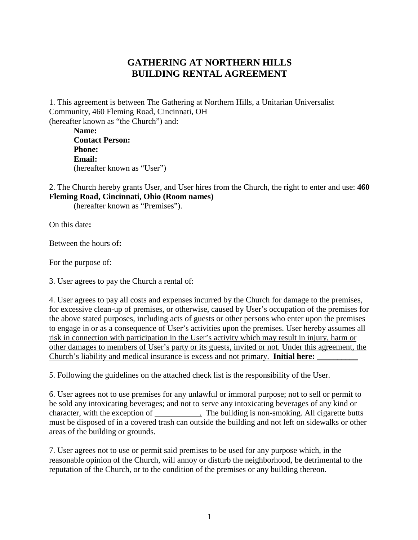## **GATHERING AT NORTHERN HILLS BUILDING RENTAL AGREEMENT**

1. This agreement is between The Gathering at Northern Hills, a Unitarian Universalist Community, 460 Fleming Road, Cincinnati, OH (hereafter known as "the Church") and:

| Name:                       |  |
|-----------------------------|--|
| <b>Contact Person:</b>      |  |
| <b>Phone:</b>               |  |
| <b>Email:</b>               |  |
| (hereafter known as "User") |  |

2. The Church hereby grants User, and User hires from the Church, the right to enter and use: **460 Fleming Road, Cincinnati, Ohio (Room names)**

(hereafter known as "Premises").

On this date**:**

Between the hours of**:**

For the purpose of:

3. User agrees to pay the Church a rental of:

4. User agrees to pay all costs and expenses incurred by the Church for damage to the premises, for excessive clean-up of premises, or otherwise, caused by User's occupation of the premises for the above stated purposes, including acts of guests or other persons who enter upon the premises to engage in or as a consequence of User's activities upon the premises. User hereby assumes all risk in connection with participation in the User's activity which may result in injury, harm or other damages to members of User's party or its guests, invited or not. Under this agreement, the Church's liability and medical insurance is excess and not primary. **Initial here:** 

5. Following the guidelines on the attached check list is the responsibility of the User.

6. User agrees not to use premises for any unlawful or immoral purpose; not to sell or permit to be sold any intoxicating beverages; and not to serve any intoxicating beverages of any kind or character, with the exception of . The building is non-smoking. All cigarette butts must be disposed of in a covered trash can outside the building and not left on sidewalks or other areas of the building or grounds.

7. User agrees not to use or permit said premises to be used for any purpose which, in the reasonable opinion of the Church, will annoy or disturb the neighborhood, be detrimental to the reputation of the Church, or to the condition of the premises or any building thereon.